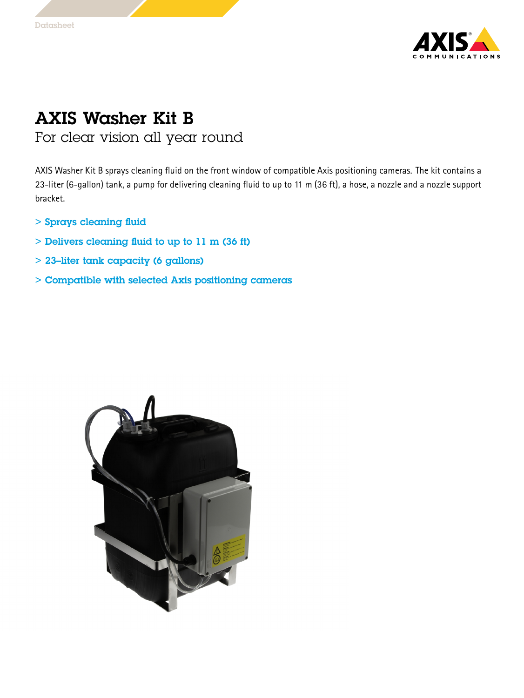

## AXIS Washer Kit B

For clear vision all year round

AXIS Washer Kit B sprays cleaning fluid on the front window of compatible Axis positioning cameras. The kit contains <sup>a</sup> 23-liter (6-gallon) tank, <sup>a</sup> pump for delivering cleaning fluid to up to <sup>11</sup> <sup>m</sup> (36 ft), <sup>a</sup> hose, <sup>a</sup> nozzle and <sup>a</sup> nozzle support bracket.

- > Sprays cleaning fluid
- > Delivers cleaning fluid to up to 11 <sup>m</sup> (36 ft)
- > 23–liter tank capacity (6 gallons)
- > Compatible with selected Axis positioning cameras